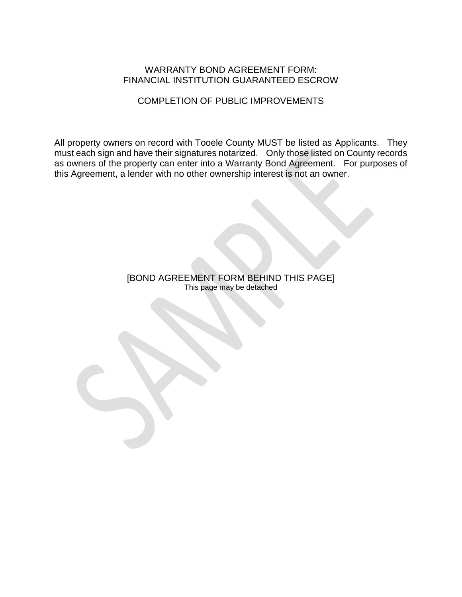#### WARRANTY BOND AGREEMENT FORM: FINANCIAL INSTITUTION GUARANTEED ESCROW

#### COMPLETION OF PUBLIC IMPROVEMENTS

All property owners on record with Tooele County MUST be listed as Applicants. They must each sign and have their signatures notarized. Only those listed on County records as owners of the property can enter into a Warranty Bond Agreement. For purposes of this Agreement, a lender with no other ownership interest is not an owner.

> [BOND AGREEMENT FORM BEHIND THIS PAGE] This page may be detached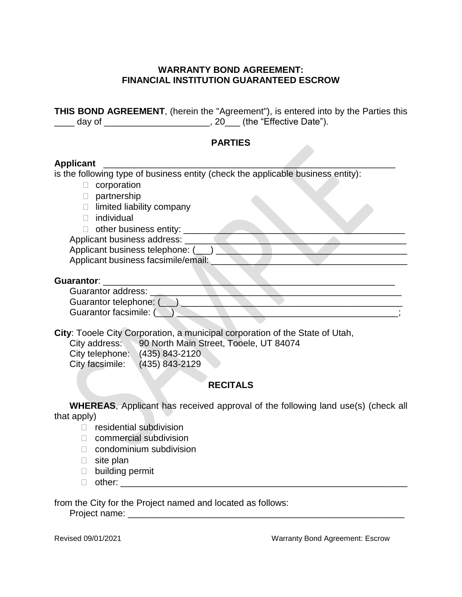#### **WARRANTY BOND AGREEMENT: FINANCIAL INSTITUTION GUARANTEED ESCROW**

**THIS BOND AGREEMENT**, (herein the "Agreement"), is entered into by the Parties this \_\_\_\_ day of \_\_\_\_\_\_\_\_\_\_\_\_\_\_\_\_\_\_\_\_\_\_, 20\_\_\_ (the "Effective Date").

#### **PARTIES**

#### **Applicant** \_\_\_\_\_\_\_\_\_\_\_\_\_\_\_\_\_\_\_\_\_\_\_\_\_\_\_\_\_\_\_\_\_\_\_\_\_\_\_\_\_\_\_\_\_\_\_\_\_\_\_\_\_\_\_\_\_\_

is the following type of business entity (check the applicable business entity):

- $\Box$  corporation
- D partnership
- $\Box$  limited liability company
- **D** individual
- $\Box$  other business entity:  $\Box$

Applicant business address:

Applicant business telephone: ( \_\_) Applicant business facsimile/email:

#### Guarantor:

**City**: Tooele City Corporation, a municipal corporation of the State of Utah,

| City address:  | 90 North Main Street, Tooele, UT 84074 |
|----------------|----------------------------------------|
| City tolonhono | $(119E)$ 019 $(190$                    |

| City telephone: | (435) 843-2120   |
|-----------------|------------------|
| City facsimile: | $(435)$ 843-2129 |

#### **RECITALS**

**WHEREAS**, Applicant has received approval of the following land use(s) (check all that apply)

- $\Box$  residential subdivision
- □ commercial subdivision
- $\Box$  condominium subdivision
- $\Box$  site plan
- $\Box$  building permit
- other: \_\_\_\_\_\_\_\_\_\_\_\_\_\_\_\_\_\_\_\_\_\_\_\_\_\_\_\_\_\_\_\_\_\_\_\_\_\_\_\_\_\_\_\_\_\_\_\_\_\_\_\_\_\_\_\_\_

from the City for the Project named and located as follows:

Project name: \_\_\_\_\_\_\_\_\_\_\_\_\_\_\_\_\_\_\_\_\_\_\_\_\_\_\_\_\_\_\_\_\_\_\_\_\_\_\_\_\_\_\_\_\_\_\_\_\_\_\_\_\_\_\_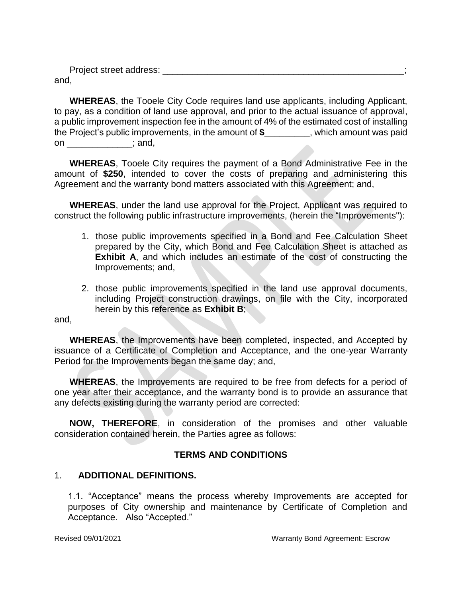Project street address: **Example 20** and 20 and 20 and 20 and 20 and 20 and 20 and 20 and 20 and 20 and 20 and 20 and 20 and 20 and 20 and 20 and 20 and 20 and 20 and 20 and 20 and 20 and 20 and 20 and 20 and 20 and 20 and and,

**WHEREAS**, the Tooele City Code requires land use applicants, including Applicant, to pay, as a condition of land use approval, and prior to the actual issuance of approval, a public improvement inspection fee in the amount of 4% of the estimated cost of installing the Project's public improvements, in the amount of **\$\_\_\_\_\_\_\_\_\_**, which amount was paid on \_\_\_\_\_\_\_\_\_\_\_\_\_\_; and,

**WHEREAS**, Tooele City requires the payment of a Bond Administrative Fee in the amount of **\$250**, intended to cover the costs of preparing and administering this Agreement and the warranty bond matters associated with this Agreement; and,

**WHEREAS**, under the land use approval for the Project, Applicant was required to construct the following public infrastructure improvements, (herein the "Improvements"):

- 1. those public improvements specified in a Bond and Fee Calculation Sheet prepared by the City, which Bond and Fee Calculation Sheet is attached as **Exhibit A**, and which includes an estimate of the cost of constructing the Improvements; and,
- 2. those public improvements specified in the land use approval documents, including Project construction drawings, on file with the City, incorporated herein by this reference as **Exhibit B**;

and,

**WHEREAS**, the Improvements have been completed, inspected, and Accepted by issuance of a Certificate of Completion and Acceptance, and the one-year Warranty Period for the Improvements began the same day; and,

**WHEREAS**, the Improvements are required to be free from defects for a period of one year after their acceptance, and the warranty bond is to provide an assurance that any defects existing during the warranty period are corrected:

**NOW, THEREFORE**, in consideration of the promises and other valuable consideration contained herein, the Parties agree as follows:

#### **TERMS AND CONDITIONS**

#### 1. **ADDITIONAL DEFINITIONS.**

1.1. "Acceptance" means the process whereby Improvements are accepted for purposes of City ownership and maintenance by Certificate of Completion and Acceptance. Also "Accepted."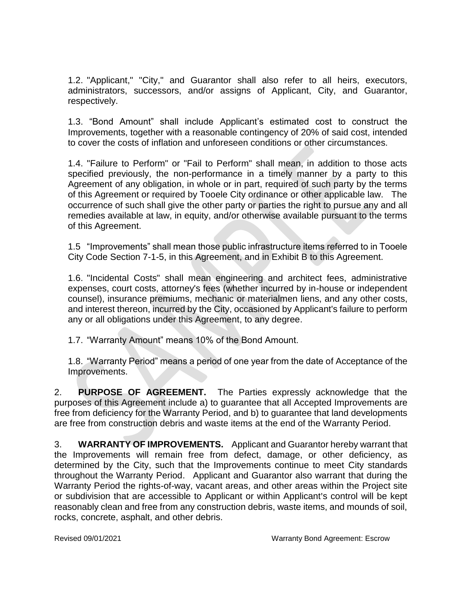1.2. "Applicant," "City," and Guarantor shall also refer to all heirs, executors, administrators, successors, and/or assigns of Applicant, City, and Guarantor, respectively.

1.3. "Bond Amount" shall include Applicant's estimated cost to construct the Improvements, together with a reasonable contingency of 20% of said cost, intended to cover the costs of inflation and unforeseen conditions or other circumstances.

1.4. "Failure to Perform" or "Fail to Perform" shall mean, in addition to those acts specified previously, the non-performance in a timely manner by a party to this Agreement of any obligation, in whole or in part, required of such party by the terms of this Agreement or required by Tooele City ordinance or other applicable law. The occurrence of such shall give the other party or parties the right to pursue any and all remedies available at law, in equity, and/or otherwise available pursuant to the terms of this Agreement.

1.5 "Improvements" shall mean those public infrastructure items referred to in Tooele City Code Section 7-1-5, in this Agreement, and in Exhibit B to this Agreement.

1.6. "Incidental Costs" shall mean engineering and architect fees, administrative expenses, court costs, attorney's fees (whether incurred by in-house or independent counsel), insurance premiums, mechanic or materialmen liens, and any other costs, and interest thereon, incurred by the City, occasioned by Applicant's failure to perform any or all obligations under this Agreement, to any degree.

1.7. "Warranty Amount" means 10% of the Bond Amount.

1.8. "Warranty Period" means a period of one year from the date of Acceptance of the Improvements.

2. **PURPOSE OF AGREEMENT.** The Parties expressly acknowledge that the purposes of this Agreement include a) to guarantee that all Accepted Improvements are free from deficiency for the Warranty Period, and b) to guarantee that land developments are free from construction debris and waste items at the end of the Warranty Period.

3. **WARRANTY OF IMPROVEMENTS.** Applicant and Guarantor hereby warrant that the Improvements will remain free from defect, damage, or other deficiency, as determined by the City, such that the Improvements continue to meet City standards throughout the Warranty Period. Applicant and Guarantor also warrant that during the Warranty Period the rights-of-way, vacant areas, and other areas within the Project site or subdivision that are accessible to Applicant or within Applicant's control will be kept reasonably clean and free from any construction debris, waste items, and mounds of soil, rocks, concrete, asphalt, and other debris.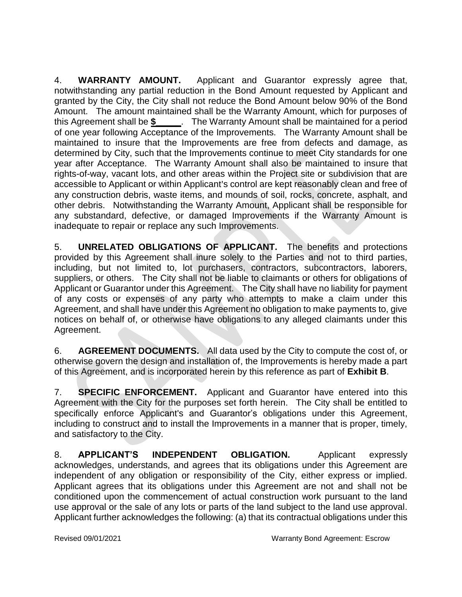4. **WARRANTY AMOUNT.** Applicant and Guarantor expressly agree that, notwithstanding any partial reduction in the Bond Amount requested by Applicant and granted by the City, the City shall not reduce the Bond Amount below 90% of the Bond Amount. The amount maintained shall be the Warranty Amount, which for purposes of this Agreement shall be **\$\_\_\_\_\_**. The Warranty Amount shall be maintained for a period of one year following Acceptance of the Improvements. The Warranty Amount shall be maintained to insure that the Improvements are free from defects and damage, as determined by City, such that the Improvements continue to meet City standards for one year after Acceptance. The Warranty Amount shall also be maintained to insure that rights-of-way, vacant lots, and other areas within the Project site or subdivision that are accessible to Applicant or within Applicant's control are kept reasonably clean and free of any construction debris, waste items, and mounds of soil, rocks, concrete, asphalt, and other debris. Notwithstanding the Warranty Amount, Applicant shall be responsible for any substandard, defective, or damaged Improvements if the Warranty Amount is inadequate to repair or replace any such Improvements.

5. **UNRELATED OBLIGATIONS OF APPLICANT.** The benefits and protections provided by this Agreement shall inure solely to the Parties and not to third parties, including, but not limited to, lot purchasers, contractors, subcontractors, laborers, suppliers, or others. The City shall not be liable to claimants or others for obligations of Applicant or Guarantor under this Agreement. The City shall have no liability for payment of any costs or expenses of any party who attempts to make a claim under this Agreement, and shall have under this Agreement no obligation to make payments to, give notices on behalf of, or otherwise have obligations to any alleged claimants under this Agreement.

6. **AGREEMENT DOCUMENTS.** All data used by the City to compute the cost of, or otherwise govern the design and installation of, the Improvements is hereby made a part of this Agreement, and is incorporated herein by this reference as part of **Exhibit B**.

7. **SPECIFIC ENFORCEMENT.** Applicant and Guarantor have entered into this Agreement with the City for the purposes set forth herein. The City shall be entitled to specifically enforce Applicant's and Guarantor's obligations under this Agreement, including to construct and to install the Improvements in a manner that is proper, timely, and satisfactory to the City.

8. **APPLICANT'S INDEPENDENT OBLIGATION.** Applicant expressly acknowledges, understands, and agrees that its obligations under this Agreement are independent of any obligation or responsibility of the City, either express or implied. Applicant agrees that its obligations under this Agreement are not and shall not be conditioned upon the commencement of actual construction work pursuant to the land use approval or the sale of any lots or parts of the land subject to the land use approval. Applicant further acknowledges the following: (a) that its contractual obligations under this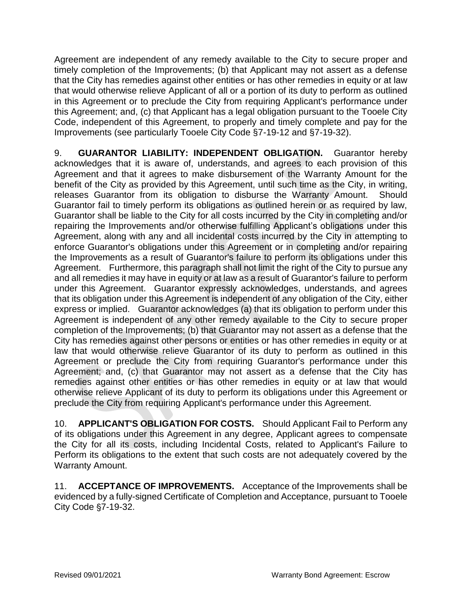Agreement are independent of any remedy available to the City to secure proper and timely completion of the Improvements; (b) that Applicant may not assert as a defense that the City has remedies against other entities or has other remedies in equity or at law that would otherwise relieve Applicant of all or a portion of its duty to perform as outlined in this Agreement or to preclude the City from requiring Applicant's performance under this Agreement; and, (c) that Applicant has a legal obligation pursuant to the Tooele City Code, independent of this Agreement, to properly and timely complete and pay for the Improvements (see particularly Tooele City Code §7-19-12 and §7-19-32).

9. **GUARANTOR LIABILITY: INDEPENDENT OBLIGATION.** Guarantor hereby acknowledges that it is aware of, understands, and agrees to each provision of this Agreement and that it agrees to make disbursement of the Warranty Amount for the benefit of the City as provided by this Agreement, until such time as the City, in writing, releases Guarantor from its obligation to disburse the Warranty Amount. Should Guarantor fail to timely perform its obligations as outlined herein or as required by law, Guarantor shall be liable to the City for all costs incurred by the City in completing and/or repairing the Improvements and/or otherwise fulfilling Applicant's obligations under this Agreement, along with any and all incidental costs incurred by the City in attempting to enforce Guarantor's obligations under this Agreement or in completing and/or repairing the Improvements as a result of Guarantor's failure to perform its obligations under this Agreement. Furthermore, this paragraph shall not limit the right of the City to pursue any and all remedies it may have in equity or at law as a result of Guarantor's failure to perform under this Agreement. Guarantor expressly acknowledges, understands, and agrees that its obligation under this Agreement is independent of any obligation of the City, either express or implied. Guarantor acknowledges (a) that its obligation to perform under this Agreement is independent of any other remedy available to the City to secure proper completion of the Improvements; (b) that Guarantor may not assert as a defense that the City has remedies against other persons or entities or has other remedies in equity or at law that would otherwise relieve Guarantor of its duty to perform as outlined in this Agreement or preclude the City from requiring Guarantor's performance under this Agreement; and, (c) that Guarantor may not assert as a defense that the City has remedies against other entities or has other remedies in equity or at law that would otherwise relieve Applicant of its duty to perform its obligations under this Agreement or preclude the City from requiring Applicant's performance under this Agreement.

10. **APPLICANT'S OBLIGATION FOR COSTS.** Should Applicant Fail to Perform any of its obligations under this Agreement in any degree, Applicant agrees to compensate the City for all its costs, including Incidental Costs, related to Applicant's Failure to Perform its obligations to the extent that such costs are not adequately covered by the Warranty Amount.

11. **ACCEPTANCE OF IMPROVEMENTS.** Acceptance of the Improvements shall be evidenced by a fully-signed Certificate of Completion and Acceptance, pursuant to Tooele  $City Code$   $$7-19-32$ .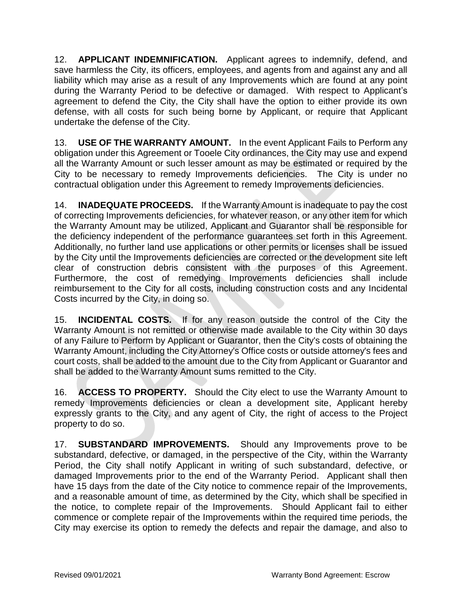12. **APPLICANT INDEMNIFICATION.** Applicant agrees to indemnify, defend, and save harmless the City, its officers, employees, and agents from and against any and all liability which may arise as a result of any Improvements which are found at any point during the Warranty Period to be defective or damaged. With respect to Applicant's agreement to defend the City, the City shall have the option to either provide its own defense, with all costs for such being borne by Applicant, or require that Applicant undertake the defense of the City.

13. **USE OF THE WARRANTY AMOUNT.** In the event Applicant Fails to Perform any obligation under this Agreement or Tooele City ordinances, the City may use and expend all the Warranty Amount or such lesser amount as may be estimated or required by the City to be necessary to remedy Improvements deficiencies. The City is under no contractual obligation under this Agreement to remedy Improvements deficiencies.

14. **INADEQUATE PROCEEDS.** If the Warranty Amount is inadequate to pay the cost of correcting Improvements deficiencies, for whatever reason, or any other item for which the Warranty Amount may be utilized, Applicant and Guarantor shall be responsible for the deficiency independent of the performance guarantees set forth in this Agreement. Additionally, no further land use applications or other permits or licenses shall be issued by the City until the Improvements deficiencies are corrected or the development site left clear of construction debris consistent with the purposes of this Agreement. Furthermore, the cost of remedying Improvements deficiencies shall include reimbursement to the City for all costs, including construction costs and any Incidental Costs incurred by the City, in doing so.

15. **INCIDENTAL COSTS.** If for any reason outside the control of the City the Warranty Amount is not remitted or otherwise made available to the City within 30 days of any Failure to Perform by Applicant or Guarantor, then the City's costs of obtaining the Warranty Amount, including the City Attorney's Office costs or outside attorney's fees and court costs, shall be added to the amount due to the City from Applicant or Guarantor and shall be added to the Warranty Amount sums remitted to the City.

16. **ACCESS TO PROPERTY.** Should the City elect to use the Warranty Amount to remedy Improvements deficiencies or clean a development site, Applicant hereby expressly grants to the City, and any agent of City, the right of access to the Project property to do so.

17. **SUBSTANDARD IMPROVEMENTS.** Should any Improvements prove to be substandard, defective, or damaged, in the perspective of the City, within the Warranty Period, the City shall notify Applicant in writing of such substandard, defective, or damaged Improvements prior to the end of the Warranty Period. Applicant shall then have 15 days from the date of the City notice to commence repair of the Improvements, and a reasonable amount of time, as determined by the City, which shall be specified in the notice, to complete repair of the Improvements. Should Applicant fail to either commence or complete repair of the Improvements within the required time periods, the City may exercise its option to remedy the defects and repair the damage, and also to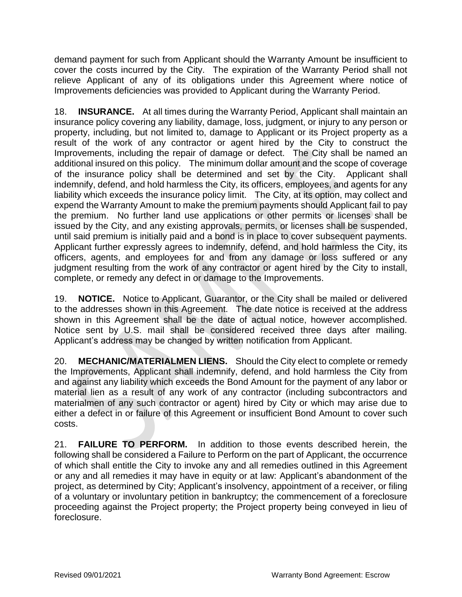demand payment for such from Applicant should the Warranty Amount be insufficient to cover the costs incurred by the City. The expiration of the Warranty Period shall not relieve Applicant of any of its obligations under this Agreement where notice of Improvements deficiencies was provided to Applicant during the Warranty Period.

18. **INSURANCE.** At all times during the Warranty Period, Applicant shall maintain an insurance policy covering any liability, damage, loss, judgment, or injury to any person or property, including, but not limited to, damage to Applicant or its Project property as a result of the work of any contractor or agent hired by the City to construct the Improvements, including the repair of damage or defect. The City shall be named an additional insured on this policy. The minimum dollar amount and the scope of coverage of the insurance policy shall be determined and set by the City. Applicant shall indemnify, defend, and hold harmless the City, its officers, employees, and agents for any liability which exceeds the insurance policy limit. The City, at its option, may collect and expend the Warranty Amount to make the premium payments should Applicant fail to pay the premium. No further land use applications or other permits or licenses shall be issued by the City, and any existing approvals, permits, or licenses shall be suspended, until said premium is initially paid and a bond is in place to cover subsequent payments. Applicant further expressly agrees to indemnify, defend, and hold harmless the City, its officers, agents, and employees for and from any damage or loss suffered or any judgment resulting from the work of any contractor or agent hired by the City to install, complete, or remedy any defect in or damage to the Improvements.

19. **NOTICE.** Notice to Applicant, Guarantor, or the City shall be mailed or delivered to the addresses shown in this Agreement. The date notice is received at the address shown in this Agreement shall be the date of actual notice, however accomplished. Notice sent by U.S. mail shall be considered received three days after mailing. Applicant's address may be changed by written notification from Applicant.

20. **MECHANIC/MATERIALMEN LIENS.** Should the City elect to complete or remedy the Improvements, Applicant shall indemnify, defend, and hold harmless the City from and against any liability which exceeds the Bond Amount for the payment of any labor or material lien as a result of any work of any contractor (including subcontractors and materialmen of any such contractor or agent) hired by City or which may arise due to either a defect in or failure of this Agreement or insufficient Bond Amount to cover such costs.

21. **FAILURE TO PERFORM.** In addition to those events described herein, the following shall be considered a Failure to Perform on the part of Applicant, the occurrence of which shall entitle the City to invoke any and all remedies outlined in this Agreement or any and all remedies it may have in equity or at law: Applicant's abandonment of the project, as determined by City; Applicant's insolvency, appointment of a receiver, or filing of a voluntary or involuntary petition in bankruptcy; the commencement of a foreclosure proceeding against the Project property; the Project property being conveyed in lieu of foreclosure.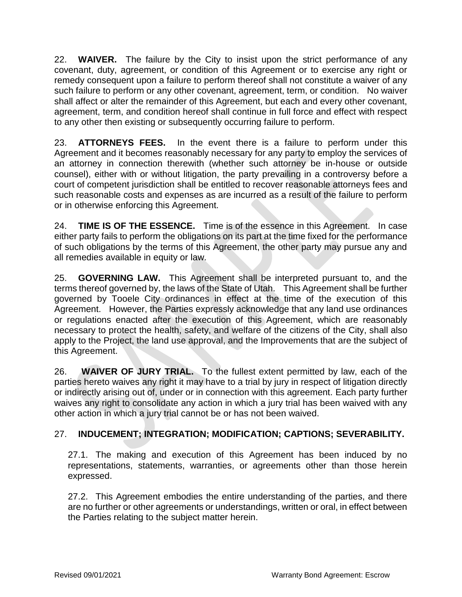22. **WAIVER.** The failure by the City to insist upon the strict performance of any covenant, duty, agreement, or condition of this Agreement or to exercise any right or remedy consequent upon a failure to perform thereof shall not constitute a waiver of any such failure to perform or any other covenant, agreement, term, or condition. No waiver shall affect or alter the remainder of this Agreement, but each and every other covenant, agreement, term, and condition hereof shall continue in full force and effect with respect to any other then existing or subsequently occurring failure to perform.

23. **ATTORNEYS FEES.** In the event there is a failure to perform under this Agreement and it becomes reasonably necessary for any party to employ the services of an attorney in connection therewith (whether such attorney be in-house or outside counsel), either with or without litigation, the party prevailing in a controversy before a court of competent jurisdiction shall be entitled to recover reasonable attorneys fees and such reasonable costs and expenses as are incurred as a result of the failure to perform or in otherwise enforcing this Agreement.

24. **TIME IS OF THE ESSENCE.** Time is of the essence in this Agreement. In case either party fails to perform the obligations on its part at the time fixed for the performance of such obligations by the terms of this Agreement, the other party may pursue any and all remedies available in equity or law.

25. **GOVERNING LAW.** This Agreement shall be interpreted pursuant to, and the terms thereof governed by, the laws of the State of Utah. This Agreement shall be further governed by Tooele City ordinances in effect at the time of the execution of this Agreement. However, the Parties expressly acknowledge that any land use ordinances or regulations enacted after the execution of this Agreement, which are reasonably necessary to protect the health, safety, and welfare of the citizens of the City, shall also apply to the Project, the land use approval, and the Improvements that are the subject of this Agreement.

26. **WAIVER OF JURY TRIAL.** To the fullest extent permitted by law, each of the parties hereto waives any right it may have to a trial by jury in respect of litigation directly or indirectly arising out of, under or in connection with this agreement. Each party further waives any right to consolidate any action in which a jury trial has been waived with any other action in which a jury trial cannot be or has not been waived.

#### 27. **INDUCEMENT; INTEGRATION; MODIFICATION; CAPTIONS; SEVERABILITY.**

27.1. The making and execution of this Agreement has been induced by no representations, statements, warranties, or agreements other than those herein expressed.

27.2. This Agreement embodies the entire understanding of the parties, and there are no further or other agreements or understandings, written or oral, in effect between the Parties relating to the subject matter herein.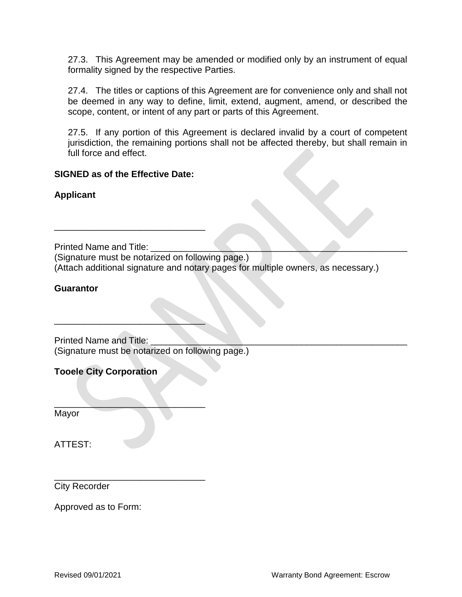27.3. This Agreement may be amended or modified only by an instrument of equal formality signed by the respective Parties.

27.4. The titles or captions of this Agreement are for convenience only and shall not be deemed in any way to define, limit, extend, augment, amend, or described the scope, content, or intent of any part or parts of this Agreement.

27.5. If any portion of this Agreement is declared invalid by a court of competent jurisdiction, the remaining portions shall not be affected thereby, but shall remain in full force and effect.

#### **SIGNED as of the Effective Date:**

\_\_\_\_\_\_\_\_\_\_\_\_\_\_\_\_\_\_\_\_\_\_\_\_\_\_\_\_\_\_

 $\overline{\phantom{a}}$  , where  $\overline{\phantom{a}}$  , where  $\overline{\phantom{a}}$  , where  $\overline{\phantom{a}}$ 

 $\mathcal{L}=\mathcal{L}=\mathcal{L}=\mathcal{L}=\mathcal{L}=\mathcal{L}=\mathcal{L}=\mathcal{L}=\mathcal{L}=\mathcal{L}=\mathcal{L}=\mathcal{L}=\mathcal{L}=\mathcal{L}=\mathcal{L}=\mathcal{L}=\mathcal{L}=\mathcal{L}=\mathcal{L}=\mathcal{L}=\mathcal{L}=\mathcal{L}=\mathcal{L}=\mathcal{L}=\mathcal{L}=\mathcal{L}=\mathcal{L}=\mathcal{L}=\mathcal{L}=\mathcal{L}=\mathcal{L}=\mathcal{L}=\mathcal{L}=\mathcal{L}=\mathcal{L}=\mathcal{L}=\mathcal{$ 

\_\_\_\_\_\_\_\_\_\_\_\_\_\_\_\_\_\_\_\_\_\_\_\_\_\_\_\_\_\_

**Applicant**

Printed Name and Title:

(Signature must be notarized on following page.) (Attach additional signature and notary pages for multiple owners, as necessary.)

#### **Guarantor**

Printed Name and Title: (Signature must be notarized on following page.)

**Tooele City Corporation**

Mayor

ATTEST:

City Recorder

Approved as to Form: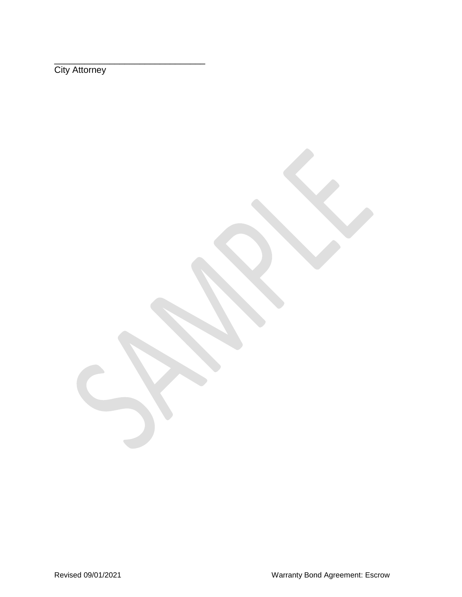**City Attorney** 

\_\_\_\_\_\_\_\_\_\_\_\_\_\_\_\_\_\_\_\_\_\_\_\_\_\_\_\_\_\_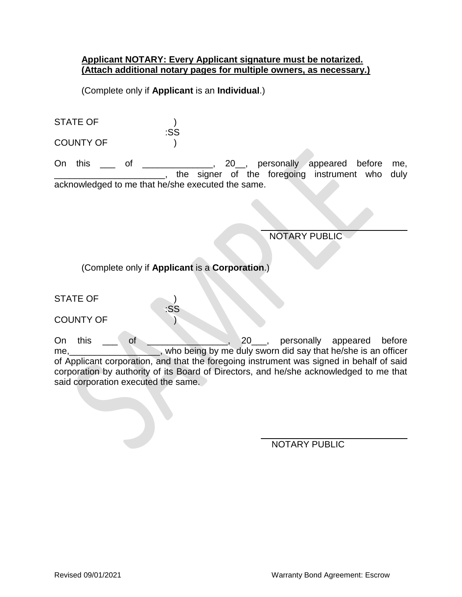#### **Applicant NOTARY: Every Applicant signature must be notarized. (Attach additional notary pages for multiple owners, as necessary.)**

(Complete only if **Applicant** is an **Individual**.)

| <b>STATE OF</b>  |     |
|------------------|-----|
|                  | :SS |
| <b>COUNTY OF</b> |     |

On this \_\_\_ of \_\_\_\_\_\_\_\_\_\_\_\_, 20\_, personally appeared before me, <sub>1</sub>, the signer of the foregoing instrument who duly acknowledged to me that he/she executed the same.

 $\overline{a}$ 

 $\overline{a}$ 

NOTARY PUBLIC

(Complete only if **Applicant** is a **Corporation**.)

:SS

STATE OF  $\qquad \qquad$  )

COUNTY OF POINTY OF

On this \_\_\_ of \_\_\_\_\_\_\_\_\_\_\_\_\_\_, 20\_\_\_, personally appeared before me, who being by me duly sworn did say that he/she is an officer of Applicant corporation, and that the foregoing instrument was signed in behalf of said corporation by authority of its Board of Directors, and he/she acknowledged to me that said corporation executed the same.

NOTARY PUBLIC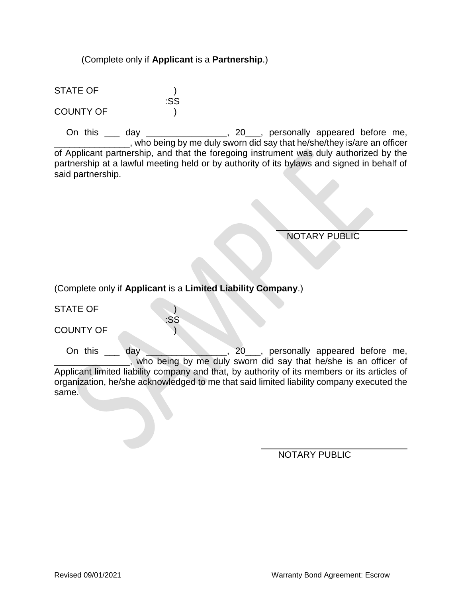#### (Complete only if **Applicant** is a **Partnership**.)

:SS

STATE OF ) COUNTY OF )

On this \_\_\_ day \_\_\_\_\_\_\_\_\_\_\_\_\_\_\_, 20\_\_\_, personally appeared before me, \_\_\_, who being by me duly sworn did say that he/she/they is/are an officer of Applicant partnership, and that the foregoing instrument was duly authorized by the partnership at a lawful meeting held or by authority of its bylaws and signed in behalf of said partnership.

NOTARY PUBLIC

(Complete only if **Applicant** is a **Limited Liability Company**.)

:SS

STATE OF )

COUNTY OF )

On this \_\_\_ day \_\_\_\_\_\_\_\_\_\_\_\_\_, 20\_\_, personally appeared before me, \_\_\_\_\_\_\_\_\_\_\_\_\_\_\_, who being by me duly sworn did say that he/she is an officer of Applicant limited liability company and that, by authority of its members or its articles of organization, he/she acknowledged to me that said limited liability company executed the same.

 $\overline{a}$ 

NOTARY PUBLIC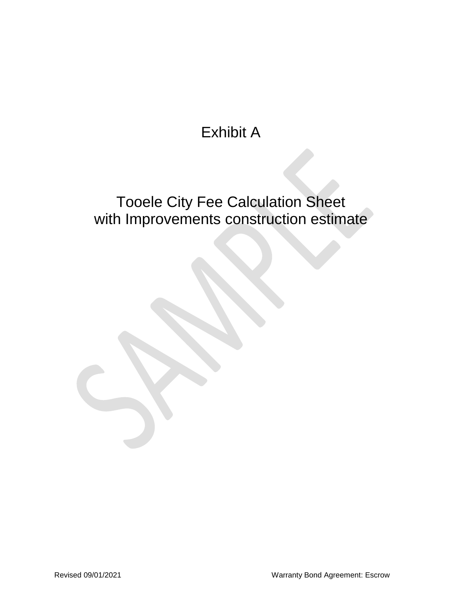## Exhibit A

## Tooele City Fee Calculation Sheet with Improvements construction estimate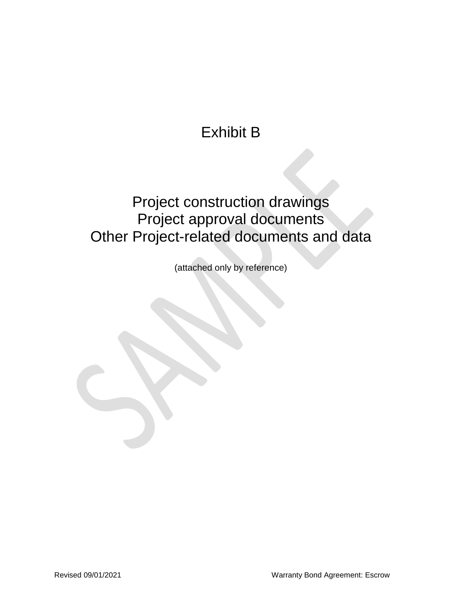## Exhibit B

### Project construction drawings Project approval documents Other Project-related documents and data

(attached only by reference)